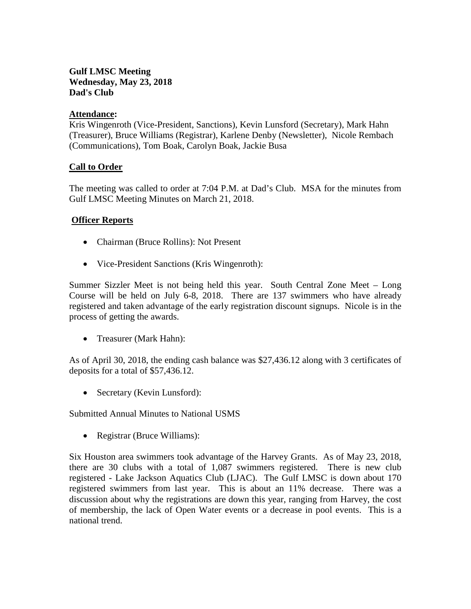# **Gulf LMSC Meeting Wednesday, May 23, 2018 Dad's Club**

## **Attendance:**

Kris Wingenroth (Vice-President, Sanctions), Kevin Lunsford (Secretary), Mark Hahn (Treasurer), Bruce Williams (Registrar), Karlene Denby (Newsletter), Nicole Rembach (Communications), Tom Boak, Carolyn Boak, Jackie Busa

## **Call to Order**

The meeting was called to order at 7:04 P.M. at Dad's Club. MSA for the minutes from Gulf LMSC Meeting Minutes on March 21, 2018.

## **Officer Reports**

- Chairman (Bruce Rollins): Not Present
- Vice-President Sanctions (Kris Wingenroth):

Summer Sizzler Meet is not being held this year. South Central Zone Meet – Long Course will be held on July 6-8, 2018. There are 137 swimmers who have already registered and taken advantage of the early registration discount signups. Nicole is in the process of getting the awards.

• Treasurer (Mark Hahn):

As of April 30, 2018, the ending cash balance was \$27,436.12 along with 3 certificates of deposits for a total of \$57,436.12.

• Secretary (Kevin Lunsford):

Submitted Annual Minutes to National USMS

• Registrar (Bruce Williams):

Six Houston area swimmers took advantage of the Harvey Grants. As of May 23, 2018, there are 30 clubs with a total of 1,087 swimmers registered. There is new club registered - Lake Jackson Aquatics Club (LJAC). The Gulf LMSC is down about 170 registered swimmers from last year. This is about an 11% decrease. There was a discussion about why the registrations are down this year, ranging from Harvey, the cost of membership, the lack of Open Water events or a decrease in pool events. This is a national trend.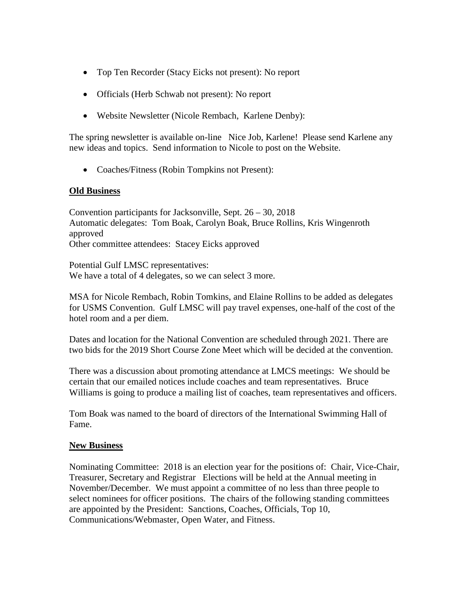- Top Ten Recorder (Stacy Eicks not present): No report
- Officials (Herb Schwab not present): No report
- Website Newsletter (Nicole Rembach, Karlene Denby):

The spring newsletter is available on-line Nice Job, Karlene! Please send Karlene any new ideas and topics. Send information to Nicole to post on the Website.

• Coaches/Fitness (Robin Tompkins not Present):

### **Old Business**

Convention participants for Jacksonville, Sept. 26 – 30, 2018 Automatic delegates: Tom Boak, Carolyn Boak, Bruce Rollins, Kris Wingenroth approved Other committee attendees: Stacey Eicks approved

Potential Gulf LMSC representatives: We have a total of 4 delegates, so we can select 3 more.

MSA for Nicole Rembach, Robin Tomkins, and Elaine Rollins to be added as delegates for USMS Convention. Gulf LMSC will pay travel expenses, one-half of the cost of the hotel room and a per diem.

Dates and location for the National Convention are scheduled through 2021. There are two bids for the 2019 Short Course Zone Meet which will be decided at the convention.

There was a discussion about promoting attendance at LMCS meetings: We should be certain that our emailed notices include coaches and team representatives. Bruce Williams is going to produce a mailing list of coaches, team representatives and officers.

Tom Boak was named to the board of directors of the International Swimming Hall of Fame.

### **New Business**

Nominating Committee: 2018 is an election year for the positions of: Chair, Vice-Chair, Treasurer, Secretary and Registrar Elections will be held at the Annual meeting in November/December. We must appoint a committee of no less than three people to select nominees for officer positions. The chairs of the following standing committees are appointed by the President: Sanctions, Coaches, Officials, Top 10, Communications/Webmaster, Open Water, and Fitness.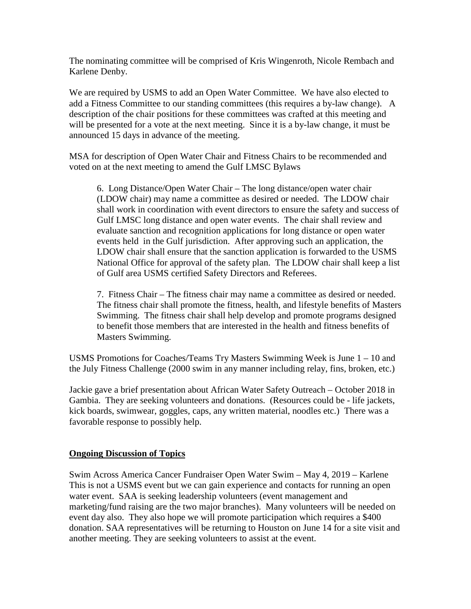The nominating committee will be comprised of Kris Wingenroth, Nicole Rembach and Karlene Denby.

We are required by USMS to add an Open Water Committee. We have also elected to add a Fitness Committee to our standing committees (this requires a by-law change). A description of the chair positions for these committees was crafted at this meeting and will be presented for a vote at the next meeting. Since it is a by-law change, it must be announced 15 days in advance of the meeting.

MSA for description of Open Water Chair and Fitness Chairs to be recommended and voted on at the next meeting to amend the Gulf LMSC Bylaws

6. Long Distance/Open Water Chair – The long distance/open water chair (LDOW chair) may name a committee as desired or needed. The LDOW chair shall work in coordination with event directors to ensure the safety and success of Gulf LMSC long distance and open water events. The chair shall review and evaluate sanction and recognition applications for long distance or open water events held in the Gulf jurisdiction. After approving such an application, the LDOW chair shall ensure that the sanction application is forwarded to the USMS National Office for approval of the safety plan. The LDOW chair shall keep a list of Gulf area USMS certified Safety Directors and Referees.

7. Fitness Chair – The fitness chair may name a committee as desired or needed. The fitness chair shall promote the fitness, health, and lifestyle benefits of Masters Swimming. The fitness chair shall help develop and promote programs designed to benefit those members that are interested in the health and fitness benefits of Masters Swimming.

USMS Promotions for Coaches/Teams Try Masters Swimming Week is June 1 – 10 and the July Fitness Challenge (2000 swim in any manner including relay, fins, broken, etc.)

Jackie gave a brief presentation about African Water Safety Outreach – October 2018 in Gambia. They are seeking volunteers and donations. (Resources could be - life jackets, kick boards, swimwear, goggles, caps, any written material, noodles etc.) There was a favorable response to possibly help.

### **Ongoing Discussion of Topics**

Swim Across America Cancer Fundraiser Open Water Swim – May 4, 2019 – Karlene This is not a USMS event but we can gain experience and contacts for running an open water event. SAA is seeking leadership volunteers (event management and marketing/fund raising are the two major branches). Many volunteers will be needed on event day also. They also hope we will promote participation which requires a \$400 donation. SAA representatives will be returning to Houston on June 14 for a site visit and another meeting. They are seeking volunteers to assist at the event.